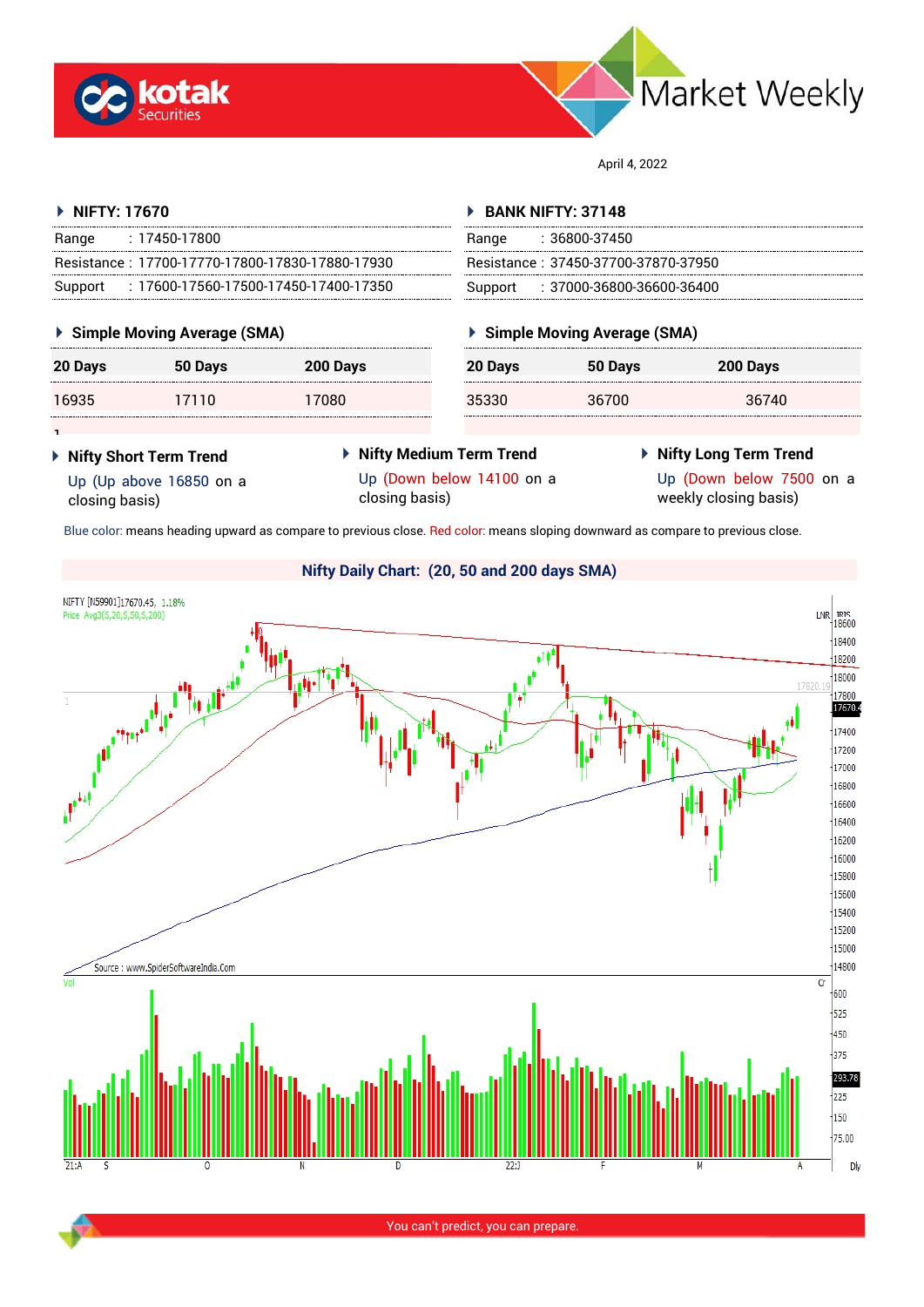



April 4, 2022

#### **NIFTY: 17670** Range : 17450-17800 Resistance : 17700-17770-17800-17830-17880-17930 Support : 17600-17560-17500-17450-17400-17350 **BANK NIFTY: 37148** Range : 36800-37450 Resistance : 37450-37700-37870-37950 Support : 37000-36800-36600-36400

## **Simple Moving Average (SMA)**

| 20 Days | 50 Days | 200 Days |  |
|---------|---------|----------|--|
| 16935   | 17110   | 17080    |  |

## **Simple Moving Average (SMA)**

| --------------------------<br>-------------------------- | 20 Days | 50 Days | 200 Days |  |
|----------------------------------------------------------|---------|---------|----------|--|
| --------------------------                               | 35330   | 36700   | 36740    |  |

1

 **Nifty Short Term Trend** Up (Up above 16850 on a closing basis)

- **Nifty Medium Term Trend** Up (Down below 14100 on a closing basis)
- **Nifty Long Term Trend**

Up (Down below 7500 on a weekly closing basis)

Blue color: means heading upward as compare to previous close. Red color: means sloping downward as compare to previous close.

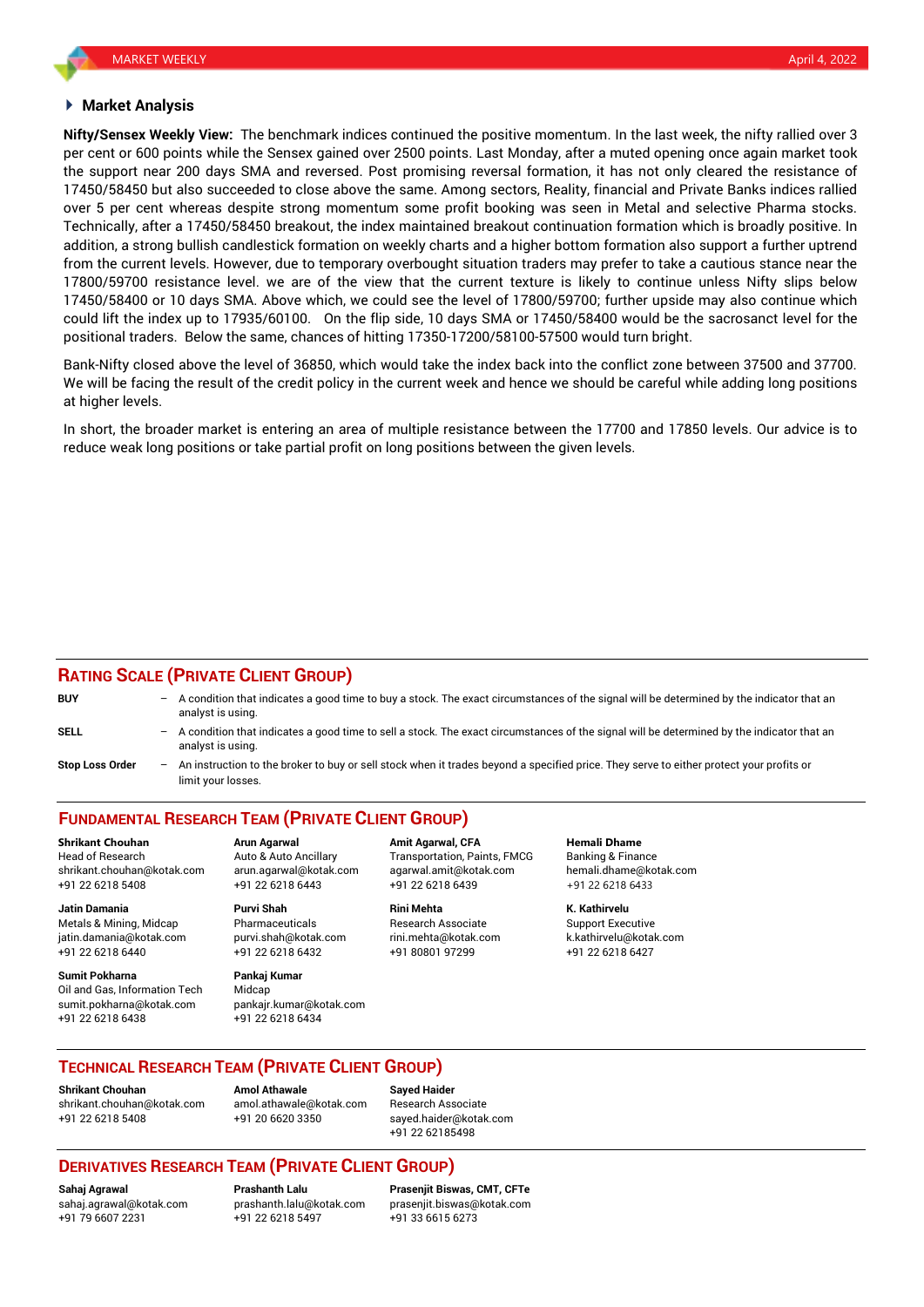#### **Market Analysis**

**Nifty/Sensex Weekly View:** The benchmark indices continued the positive momentum. In the last week, the nifty rallied over 3 per cent or 600 points while the Sensex gained over 2500 points. Last Monday, after a muted opening once again market took the support near 200 days SMA and reversed. Post promising reversal formation, it has not only cleared the resistance of 17450/58450 but also succeeded to close above the same. Among sectors, Reality, financial and Private Banks indices rallied over 5 per cent whereas despite strong momentum some profit booking was seen in Metal and selective Pharma stocks. Technically, after a 17450/58450 breakout, the index maintained breakout continuation formation which is broadly positive. In addition, a strong bullish candlestick formation on weekly charts and a higher bottom formation also support a further uptrend from the current levels. However, due to temporary overbought situation traders may prefer to take a cautious stance near the 17800/59700 resistance level. we are of the view that the current texture is likely to continue unless Nifty slips below 17450/58400 or 10 days SMA. Above which, we could see the level of 17800/59700; further upside may also continue which could lift the index up to 17935/60100. On the flip side, 10 days SMA or 17450/58400 would be the sacrosanct level for the positional traders. Below the same, chances of hitting 17350-17200/58100-57500 would turn bright.

Bank-Nifty closed above the level of 36850, which would take the index back into the conflict zone between 37500 and 37700. We will be facing the result of the credit policy in the current week and hence we should be careful while adding long positions at higher levels.

In short, the broader market is entering an area of multiple resistance between the 17700 and 17850 levels. Our advice is to reduce weak long positions or take partial profit on long positions between the given levels.

### **RATING SCALE (PRIVATE CLIENT GROUP)**

| <b>BUY</b>             | A condition that indicates a good time to buy a stock. The exact circumstances of the signal will be determined by the indicator that an<br>analyst is using.  |
|------------------------|----------------------------------------------------------------------------------------------------------------------------------------------------------------|
| <b>SELL</b>            | A condition that indicates a good time to sell a stock. The exact circumstances of the signal will be determined by the indicator that an<br>analyst is using. |
| <b>Stop Loss Order</b> | An instruction to the broker to buy or sell stock when it trades beyond a specified price. They serve to either protect your profits or<br>limit your losses.  |

# **FUNDAMENTAL RESEARCH TEAM (PRIVATE CLIENT GROUP)**

Head of Research **Auto & Auto Ancillary** Transportation, Paints, FMCG Banking & Finance shrikant.chouhan@kotak.com arun.agarwal@kotak.com [agarwal.amit@kotak.com](mailto:agarwal.amit@kotak.com) hemali.dhame@kotak.com +91 22 6218 5408 +91 22 6218 6443 +91 22 6218 6439 +91 22 6218 6433

Metals & Mining, Midcap Pharmaceuticals Research Associate Support Executive jatin.damania@kotak.com [purvi.shah@kotak.com](mailto:purvi.shah@kotak.com) rini.mehta@kotak.com [k.kathirvelu@kotak.com](mailto:k.kathirvelu@kotak.com) +91 22 6218 6440 +91 22 6218 6432 +91 80801 97299 +91 22 6218 6427

**Sumit Pokharna** Pankaj Kumar Oil and Gas, Information Tech Midcap<br>sumit pokharna@kotak.com pankair kumar@kotak.com sumit.pokharna@kotak.com +91 22 6218 6438 +91 22 6218 6434

**Jatin Damania Purvi Shah Rini Mehta K. Kathirvelu**

**Shrikant Chouhan Arun Agarwal Amit Agarwal, CFA Hemali Dhame**

### **TECHNICAL RESEARCH TEAM (PRIVATE CLIENT GROUP)**

**Shrikant Chouhan Amol Athawale Sayed Haider** [shrikant.chouhan@kotak.com](mailto:shrikant.chouhan@kotak.com) [amol.athawale@kotak.com](mailto:amol.athawale@kotak.com) Research Associate +91 22 6218 5408 +91 20 6620 3350 [sayed.haider@kotak.com](mailto:sayed.haider@kotak.com)

+91 22 62185498

## **DERIVATIVES RESEARCH TEAM (PRIVATE CLIENT GROUP)**

+91 79 6607 2231 +91 22 6218 5497 +91 33 6615 6273

**Sahaj Agrawal Prashanth Lalu Prasenjit Biswas, CMT, CFTe** [sahaj.agrawal@kotak.com](mailto:sahaj.agrawal@kotak.com) [prashanth.lalu@kotak.com](mailto:prashanth.lalu@kotak.com) [prasenjit.biswas@kotak.com](mailto:prasenjit.biswas@kotak.com)